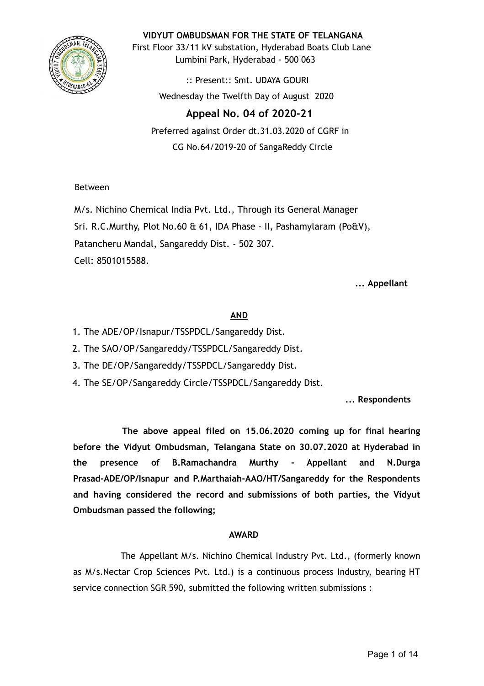

**VIDYUT OMBUDSMAN FOR THE STATE OF TELANGANA**

First Floor 33/11 kV substation, Hyderabad Boats Club Lane Lumbini Park, Hyderabad - 500 063

> :: Present:: Smt. UDAYA GOURI Wednesday the Twelfth Day of August 2020

# **Appeal No. 04 of 2020-21**

Preferred against Order dt.31.03.2020 of CGRF in CG No.64/2019-20 of SangaReddy Circle

Between

M/s. Nichino Chemical India Pvt. Ltd., Through its General Manager Sri. R.C.Murthy, Plot No.60 & 61, IDA Phase - II, Pashamylaram (Po&V), Patancheru Mandal, Sangareddy Dist. - 502 307. Cell: 8501015588.

**... Appellant**

# **AND**

- 1. The ADE/OP/Isnapur/TSSPDCL/Sangareddy Dist.
- 2. The SAO/OP/Sangareddy/TSSPDCL/Sangareddy Dist.
- 3. The DE/OP/Sangareddy/TSSPDCL/Sangareddy Dist.
- 4. The SE/OP/Sangareddy Circle/TSSPDCL/Sangareddy Dist.

**... Respondents**

**The above appeal filed on 15.06.2020 coming up for final hearing before the Vidyut Ombudsman, Telangana State on 30.07.2020 at Hyderabad in the presence of B.Ramachandra Murthy - Appellant and N.Durga Prasad-ADE/OP/Isnapur and P.Marthaiah-AAO/HT/Sangareddy for the Respondents and having considered the record and submissions of both parties, the Vidyut Ombudsman passed the following;**

# **AWARD**

The Appellant M/s. Nichino Chemical Industry Pvt. Ltd., (formerly known as M/s.Nectar Crop Sciences Pvt. Ltd.) is a continuous process Industry, bearing HT service connection SGR 590, submitted the following written submissions :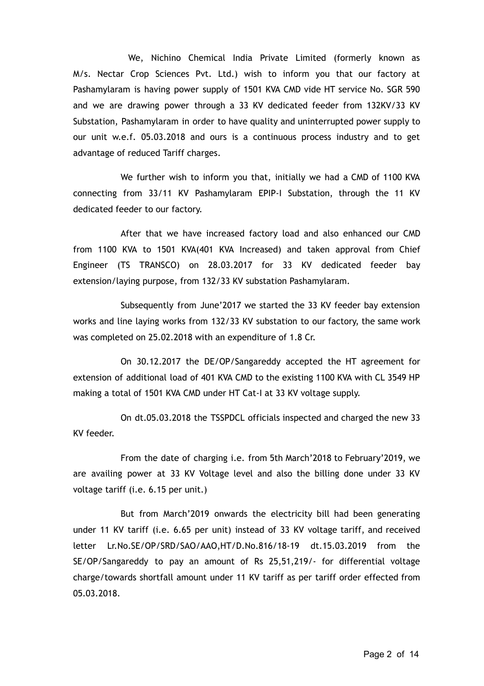We, Nichino Chemical India Private Limited (formerly known as M/s. Nectar Crop Sciences Pvt. Ltd.) wish to inform you that our factory at Pashamylaram is having power supply of 1501 KVA CMD vide HT service No. SGR 590 and we are drawing power through a 33 KV dedicated feeder from 132KV/33 KV Substation, Pashamylaram in order to have quality and uninterrupted power supply to our unit w.e.f. 05.03.2018 and ours is a continuous process industry and to get advantage of reduced Tariff charges.

We further wish to inform you that, initially we had a CMD of 1100 KVA connecting from 33/11 KV Pashamylaram EPIP-I Substation, through the 11 KV dedicated feeder to our factory.

After that we have increased factory load and also enhanced our CMD from 1100 KVA to 1501 KVA(401 KVA Increased) and taken approval from Chief Engineer (TS TRANSCO) on 28.03.2017 for 33 KV dedicated feeder bay extension/laying purpose, from 132/33 KV substation Pashamylaram.

Subsequently from June'2017 we started the 33 KV feeder bay extension works and line laying works from 132/33 KV substation to our factory, the same work was completed on 25.02.2018 with an expenditure of 1.8 Cr.

On 30.12.2017 the DE/OP/Sangareddy accepted the HT agreement for extension of additional load of 401 KVA CMD to the existing 1100 KVA with CL 3549 HP making a total of 1501 KVA CMD under HT Cat-I at 33 KV voltage supply.

On dt.05.03.2018 the TSSPDCL officials inspected and charged the new 33 KV feeder.

From the date of charging i.e. from 5th March'2018 to February'2019, we are availing power at 33 KV Voltage level and also the billing done under 33 KV voltage tariff (i.e. 6.15 per unit.)

But from March'2019 onwards the electricity bill had been generating under 11 KV tariff (i.e. 6.65 per unit) instead of 33 KV voltage tariff, and received letter Lr.No.SE/OP/SRD/SAO/AAO,HT/D.No.816/18-19 dt.15.03.2019 from the SE/OP/Sangareddy to pay an amount of Rs 25,51,219/- for differential voltage charge/towards shortfall amount under 11 KV tariff as per tariff order effected from 05.03.2018.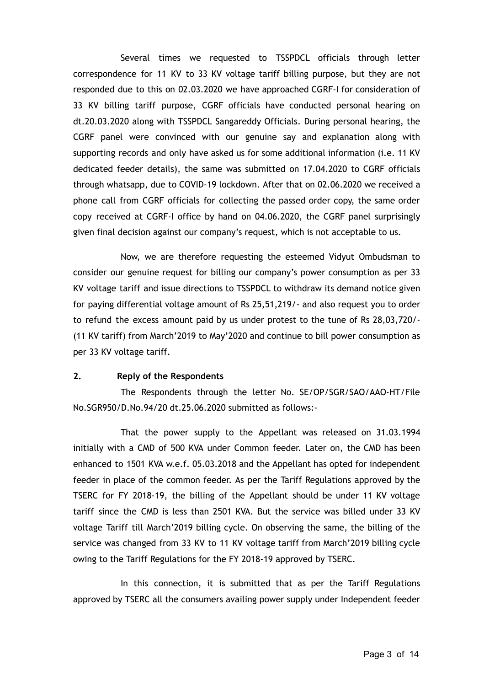Several times we requested to TSSPDCL officials through letter correspondence for 11 KV to 33 KV voltage tariff billing purpose, but they are not responded due to this on 02.03.2020 we have approached CGRF-I for consideration of 33 KV billing tariff purpose, CGRF officials have conducted personal hearing on dt.20.03.2020 along with TSSPDCL Sangareddy Officials. During personal hearing, the CGRF panel were convinced with our genuine say and explanation along with supporting records and only have asked us for some additional information (i.e. 11 KV dedicated feeder details), the same was submitted on 17.04.2020 to CGRF officials through whatsapp, due to COVID-19 lockdown. After that on 02.06.2020 we received a phone call from CGRF officials for collecting the passed order copy, the same order copy received at CGRF-I office by hand on 04.06.2020, the CGRF panel surprisingly given final decision against our company's request, which is not acceptable to us.

Now, we are therefore requesting the esteemed Vidyut Ombudsman to consider our genuine request for billing our company's power consumption as per 33 KV voltage tariff and issue directions to TSSPDCL to withdraw its demand notice given for paying differential voltage amount of Rs 25,51,219/- and also request you to order to refund the excess amount paid by us under protest to the tune of Rs 28,03,720/- (11 KV tariff) from March'2019 to May'2020 and continue to bill power consumption as per 33 KV voltage tariff.

# **2. Reply of the Respondents**

The Respondents through the letter No. SE/OP/SGR/SAO/AAO-HT/File No.SGR950/D.No.94/20 dt.25.06.2020 submitted as follows:-

That the power supply to the Appellant was released on 31.03.1994 initially with a CMD of 500 KVA under Common feeder. Later on, the CMD has been enhanced to 1501 KVA w.e.f. 05.03.2018 and the Appellant has opted for independent feeder in place of the common feeder. As per the Tariff Regulations approved by the TSERC for FY 2018-19, the billing of the Appellant should be under 11 KV voltage tariff since the CMD is less than 2501 KVA. But the service was billed under 33 KV voltage Tariff till March'2019 billing cycle. On observing the same, the billing of the service was changed from 33 KV to 11 KV voltage tariff from March'2019 billing cycle owing to the Tariff Regulations for the FY 2018-19 approved by TSERC.

In this connection, it is submitted that as per the Tariff Regulations approved by TSERC all the consumers availing power supply under Independent feeder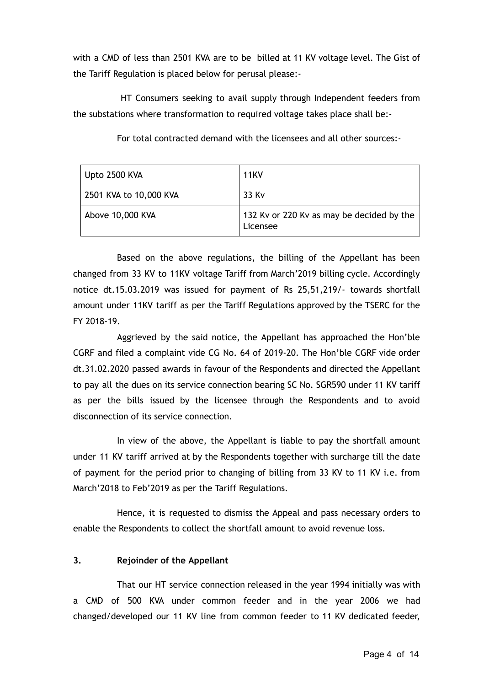with a CMD of less than 2501 KVA are to be billed at 11 KV voltage level. The Gist of the Tariff Regulation is placed below for perusal please:-

HT Consumers seeking to avail supply through Independent feeders from the substations where transformation to required voltage takes place shall be:-

| Upto 2500 KVA          | <b>11KV</b>                                           |
|------------------------|-------------------------------------------------------|
| 2501 KVA to 10,000 KVA | 33 Kv                                                 |
| Above 10,000 KVA       | 132 Ky or 220 Ky as may be decided by the<br>Licensee |

For total contracted demand with the licensees and all other sources:-

Based on the above regulations, the billing of the Appellant has been changed from 33 KV to 11KV voltage Tariff from March'2019 billing cycle. Accordingly notice dt.15.03.2019 was issued for payment of Rs 25,51,219/- towards shortfall amount under 11KV tariff as per the Tariff Regulations approved by the TSERC for the FY 2018-19.

Aggrieved by the said notice, the Appellant has approached the Hon'ble CGRF and filed a complaint vide CG No. 64 of 2019-20. The Hon'ble CGRF vide order dt.31.02.2020 passed awards in favour of the Respondents and directed the Appellant to pay all the dues on its service connection bearing SC No. SGR590 under 11 KV tariff as per the bills issued by the licensee through the Respondents and to avoid disconnection of its service connection.

In view of the above, the Appellant is liable to pay the shortfall amount under 11 KV tariff arrived at by the Respondents together with surcharge till the date of payment for the period prior to changing of billing from 33 KV to 11 KV i.e. from March'2018 to Feb'2019 as per the Tariff Regulations.

Hence, it is requested to dismiss the Appeal and pass necessary orders to enable the Respondents to collect the shortfall amount to avoid revenue loss.

# **3. Rejoinder of the Appellant**

That our HT service connection released in the year 1994 initially was with a CMD of 500 KVA under common feeder and in the year 2006 we had changed/developed our 11 KV line from common feeder to 11 KV dedicated feeder,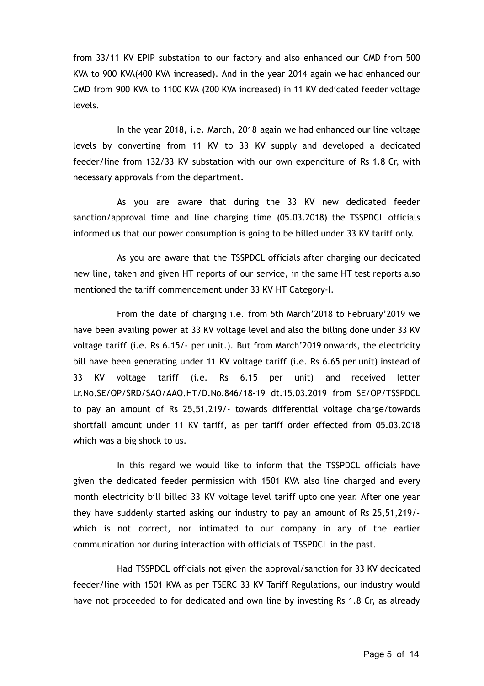from 33/11 KV EPIP substation to our factory and also enhanced our CMD from 500 KVA to 900 KVA(400 KVA increased). And in the year 2014 again we had enhanced our CMD from 900 KVA to 1100 KVA (200 KVA increased) in 11 KV dedicated feeder voltage levels.

In the year 2018, i.e. March, 2018 again we had enhanced our line voltage levels by converting from 11 KV to 33 KV supply and developed a dedicated feeder/line from 132/33 KV substation with our own expenditure of Rs 1.8 Cr, with necessary approvals from the department.

As you are aware that during the 33 KV new dedicated feeder sanction/approval time and line charging time (05.03.2018) the TSSPDCL officials informed us that our power consumption is going to be billed under 33 KV tariff only.

As you are aware that the TSSPDCL officials after charging our dedicated new line, taken and given HT reports of our service, in the same HT test reports also mentioned the tariff commencement under 33 KV HT Category-I.

From the date of charging i.e. from 5th March'2018 to February'2019 we have been availing power at 33 KV voltage level and also the billing done under 33 KV voltage tariff (i.e. Rs 6.15/- per unit.). But from March'2019 onwards, the electricity bill have been generating under 11 KV voltage tariff (i.e. Rs 6.65 per unit) instead of 33 KV voltage tariff (i.e. Rs 6.15 per unit) and received letter Lr.No.SE/OP/SRD/SAO/AAO.HT/D.No.846/18-19 dt.15.03.2019 from SE/OP/TSSPDCL to pay an amount of Rs 25,51,219/- towards differential voltage charge/towards shortfall amount under 11 KV tariff, as per tariff order effected from 05.03.2018 which was a big shock to us.

In this regard we would like to inform that the TSSPDCL officials have given the dedicated feeder permission with 1501 KVA also line charged and every month electricity bill billed 33 KV voltage level tariff upto one year. After one year they have suddenly started asking our industry to pay an amount of Rs 25,51,219/ which is not correct, nor intimated to our company in any of the earlier communication nor during interaction with officials of TSSPDCL in the past.

Had TSSPDCL officials not given the approval/sanction for 33 KV dedicated feeder/line with 1501 KVA as per TSERC 33 KV Tariff Regulations, our industry would have not proceeded to for dedicated and own line by investing Rs 1.8 Cr, as already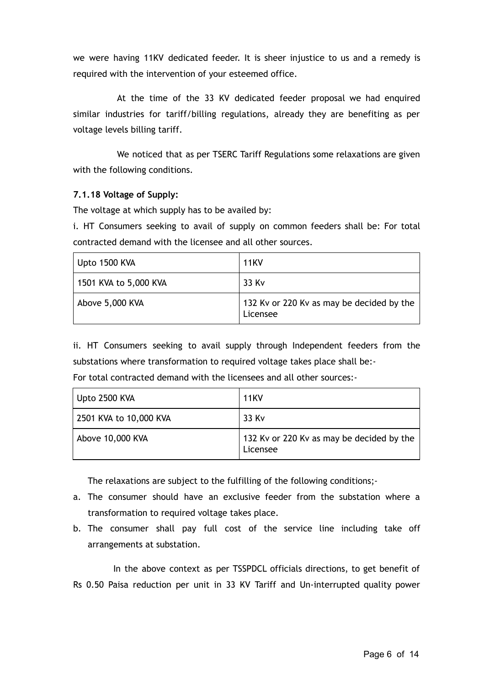we were having 11KV dedicated feeder. It is sheer injustice to us and a remedy is required with the intervention of your esteemed office.

At the time of the 33 KV dedicated feeder proposal we had enquired similar industries for tariff/billing regulations, already they are benefiting as per voltage levels billing tariff.

We noticed that as per TSERC Tariff Regulations some relaxations are given with the following conditions.

#### **7.1.18 Voltage of Supply:**

The voltage at which supply has to be availed by:

i. HT Consumers seeking to avail of supply on common feeders shall be: For total contracted demand with the licensee and all other sources.

| Upto 1500 KVA         | <b>11KV</b>                                           |
|-----------------------|-------------------------------------------------------|
| 1501 KVA to 5,000 KVA | 33 Kv                                                 |
| Above 5,000 KVA       | 132 Ky or 220 Ky as may be decided by the<br>Licensee |

ii. HT Consumers seeking to avail supply through Independent feeders from the substations where transformation to required voltage takes place shall be:-

| For total contracted demand with the licensees and all other sources:- |  |
|------------------------------------------------------------------------|--|
|------------------------------------------------------------------------|--|

| Upto 2500 KVA          | <b>11KV</b>                                           |
|------------------------|-------------------------------------------------------|
| 2501 KVA to 10,000 KVA | 33 Kv                                                 |
| Above 10,000 KVA       | 132 Ky or 220 Ky as may be decided by the<br>Licensee |

The relaxations are subject to the fulfilling of the following conditions;-

- a. The consumer should have an exclusive feeder from the substation where a transformation to required voltage takes place.
- b. The consumer shall pay full cost of the service line including take off arrangements at substation.

In the above context as per TSSPDCL officials directions, to get benefit of Rs 0.50 Paisa reduction per unit in 33 KV Tariff and Un-interrupted quality power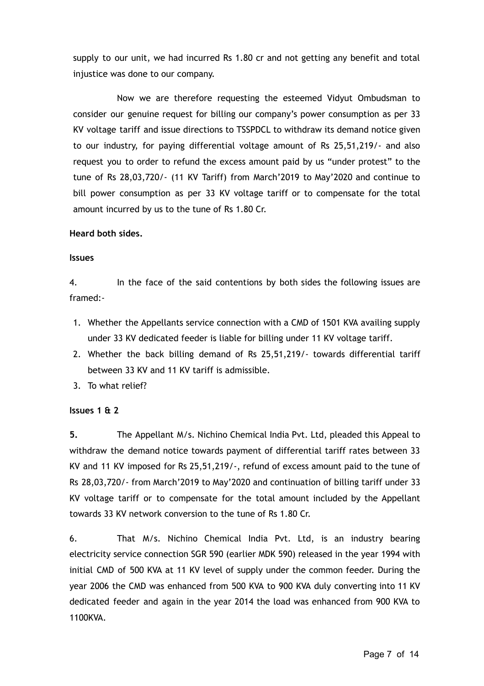supply to our unit, we had incurred Rs 1.80 cr and not getting any benefit and total injustice was done to our company.

Now we are therefore requesting the esteemed Vidyut Ombudsman to consider our genuine request for billing our company's power consumption as per 33 KV voltage tariff and issue directions to TSSPDCL to withdraw its demand notice given to our industry, for paying differential voltage amount of Rs 25,51,219/- and also request you to order to refund the excess amount paid by us "under protest" to the tune of Rs 28,03,720/- (11 KV Tariff) from March'2019 to May'2020 and continue to bill power consumption as per 33 KV voltage tariff or to compensate for the total amount incurred by us to the tune of Rs 1.80 Cr.

#### **Heard both sides.**

#### **Issues**

4. In the face of the said contentions by both sides the following issues are framed:-

- 1. Whether the Appellants service connection with a CMD of 1501 KVA availing supply under 33 KV dedicated feeder is liable for billing under 11 KV voltage tariff.
- 2. Whether the back billing demand of Rs 25,51,219/- towards differential tariff between 33 KV and 11 KV tariff is admissible.
- 3. To what relief?

# **Issues 1 & 2**

**5.** The Appellant M/s. Nichino Chemical India Pvt. Ltd, pleaded this Appeal to withdraw the demand notice towards payment of differential tariff rates between 33 KV and 11 KV imposed for Rs 25,51,219/-, refund of excess amount paid to the tune of Rs 28,03,720/- from March'2019 to May'2020 and continuation of billing tariff under 33 KV voltage tariff or to compensate for the total amount included by the Appellant towards 33 KV network conversion to the tune of Rs 1.80 Cr.

6. That M/s. Nichino Chemical India Pvt. Ltd, is an industry bearing electricity service connection SGR 590 (earlier MDK 590) released in the year 1994 with initial CMD of 500 KVA at 11 KV level of supply under the common feeder. During the year 2006 the CMD was enhanced from 500 KVA to 900 KVA duly converting into 11 KV dedicated feeder and again in the year 2014 the load was enhanced from 900 KVA to 1100KVA.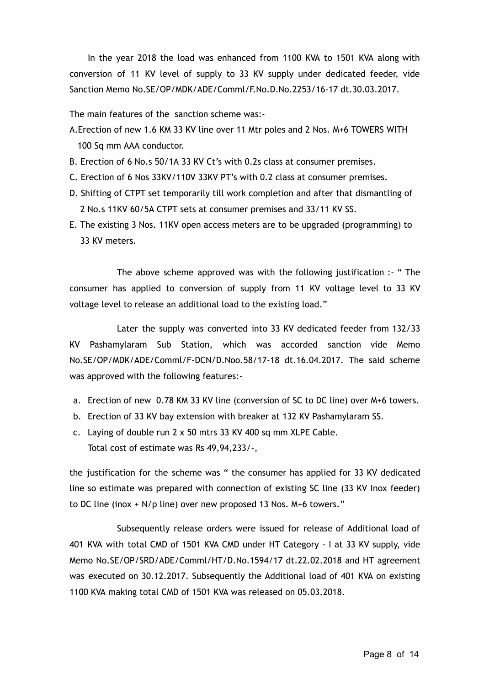In the year 2018 the load was enhanced from 1100 KVA to 1501 KVA along with conversion of 11 KV level of supply to 33 KV supply under dedicated feeder, vide Sanction Memo No.SE/OP/MDK/ADE/Comml/F.No.D.No.2253/16-17 dt.30.03.2017.

The main features of the sanction scheme was:-

- A.Erection of new 1.6 KM 33 KV line over 11 Mtr poles and 2 Nos. M+6 TOWERS WITH 100 Sq mm AAA conductor.
- B. Erection of 6 No.s 50/1A 33 KV Ct's with 0.2s class at consumer premises.
- C. Erection of 6 Nos 33KV/110V 33KV PT's with 0.2 class at consumer premises.
- D. Shifting of CTPT set temporarily till work completion and after that dismantling of 2 No.s 11KV 60/5A CTPT sets at consumer premises and 33/11 KV SS.
- E. The existing 3 Nos. 11KV open access meters are to be upgraded (programming) to 33 KV meters.

The above scheme approved was with the following justification :- " The consumer has applied to conversion of supply from 11 KV voltage level to 33 KV voltage level to release an additional load to the existing load."

Later the supply was converted into 33 KV dedicated feeder from 132/33 KV Pashamylaram Sub Station, which was accorded sanction vide Memo No.SE/OP/MDK/ADE/Comml/F-DCN/D.Noo.58/17-18 dt.16.04.2017. The said scheme was approved with the following features:-

- a. Erection of new 0.78 KM 33 KV line (conversion of SC to DC line) over M+6 towers.
- b. Erection of 33 KV bay extension with breaker at 132 KV Pashamylaram SS.
- c. Laying of double run 2 x 50 mtrs 33 KV 400 sq mm XLPE Cable. Total cost of estimate was Rs 49,94,233/-,

the justification for the scheme was " the consumer has applied for 33 KV dedicated line so estimate was prepared with connection of existing SC line (33 KV Inox feeder) to DC line (inox + N/p line) over new proposed 13 Nos. M+6 towers."

Subsequently release orders were issued for release of Additional load of 401 KVA with total CMD of 1501 KVA CMD under HT Category - I at 33 KV supply, vide Memo No.SE/OP/SRD/ADE/Comml/HT/D.No.1594/17 dt.22.02.2018 and HT agreement was executed on 30.12.2017. Subsequently the Additional load of 401 KVA on existing 1100 KVA making total CMD of 1501 KVA was released on 05.03.2018.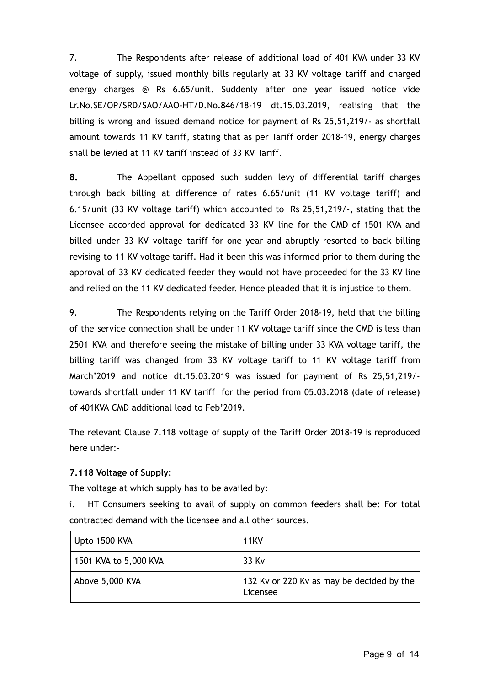7. The Respondents after release of additional load of 401 KVA under 33 KV voltage of supply, issued monthly bills regularly at 33 KV voltage tariff and charged energy charges @ Rs 6.65/unit. Suddenly after one year issued notice vide Lr.No.SE/OP/SRD/SAO/AAO-HT/D.No.846/18-19 dt.15.03.2019, realising that the billing is wrong and issued demand notice for payment of Rs 25,51,219/- as shortfall amount towards 11 KV tariff, stating that as per Tariff order 2018-19, energy charges shall be levied at 11 KV tariff instead of 33 KV Tariff.

**8.** The Appellant opposed such sudden levy of differential tariff charges through back billing at difference of rates 6.65/unit (11 KV voltage tariff) and 6.15/unit (33 KV voltage tariff) which accounted to Rs 25,51,219/-, stating that the Licensee accorded approval for dedicated 33 KV line for the CMD of 1501 KVA and billed under 33 KV voltage tariff for one year and abruptly resorted to back billing revising to 11 KV voltage tariff. Had it been this was informed prior to them during the approval of 33 KV dedicated feeder they would not have proceeded for the 33 KV line and relied on the 11 KV dedicated feeder. Hence pleaded that it is injustice to them.

9. The Respondents relying on the Tariff Order 2018-19, held that the billing of the service connection shall be under 11 KV voltage tariff since the CMD is less than 2501 KVA and therefore seeing the mistake of billing under 33 KVA voltage tariff, the billing tariff was changed from 33 KV voltage tariff to 11 KV voltage tariff from March'2019 and notice dt.15.03.2019 was issued for payment of Rs 25,51,219/ towards shortfall under 11 KV tariff for the period from 05.03.2018 (date of release) of 401KVA CMD additional load to Feb'2019.

The relevant Clause 7.118 voltage of supply of the Tariff Order 2018-19 is reproduced here under:-

# **7.118 Voltage of Supply:**

The voltage at which supply has to be availed by:

i. HT Consumers seeking to avail of supply on common feeders shall be: For total contracted demand with the licensee and all other sources.

| Upto 1500 KVA         | <b>11KV</b>                                           |
|-----------------------|-------------------------------------------------------|
| 1501 KVA to 5,000 KVA | 33 Kv                                                 |
| Above 5,000 KVA       | 132 Ky or 220 Ky as may be decided by the<br>Licensee |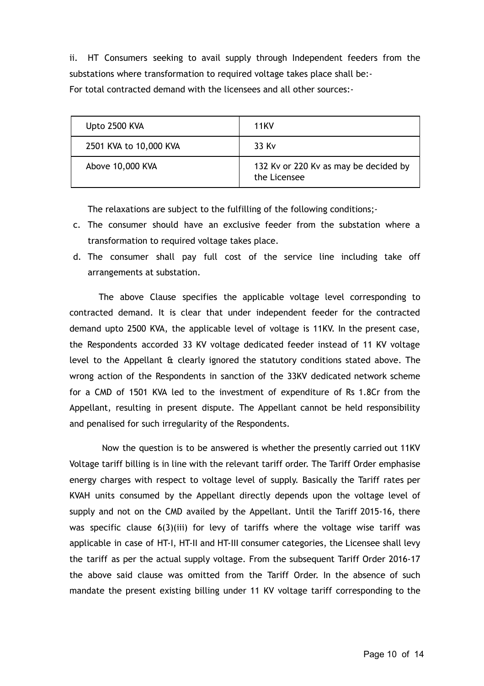ii. HT Consumers seeking to avail supply through Independent feeders from the substations where transformation to required voltage takes place shall be:- For total contracted demand with the licensees and all other sources:-

| Upto 2500 KVA          | <b>11KV</b>                                           |
|------------------------|-------------------------------------------------------|
| 2501 KVA to 10,000 KVA | 33 Kv                                                 |
| Above 10,000 KVA       | 132 Ky or 220 Ky as may be decided by<br>the Licensee |

The relaxations are subject to the fulfilling of the following conditions;-

- c. The consumer should have an exclusive feeder from the substation where a transformation to required voltage takes place.
- d. The consumer shall pay full cost of the service line including take off arrangements at substation.

The above Clause specifies the applicable voltage level corresponding to contracted demand. It is clear that under independent feeder for the contracted demand upto 2500 KVA, the applicable level of voltage is 11KV. In the present case, the Respondents accorded 33 KV voltage dedicated feeder instead of 11 KV voltage level to the Appellant & clearly ignored the statutory conditions stated above. The wrong action of the Respondents in sanction of the 33KV dedicated network scheme for a CMD of 1501 KVA led to the investment of expenditure of Rs 1.8Cr from the Appellant, resulting in present dispute. The Appellant cannot be held responsibility and penalised for such irregularity of the Respondents.

Now the question is to be answered is whether the presently carried out 11KV Voltage tariff billing is in line with the relevant tariff order. The Tariff Order emphasise energy charges with respect to voltage level of supply. Basically the Tariff rates per KVAH units consumed by the Appellant directly depends upon the voltage level of supply and not on the CMD availed by the Appellant. Until the Tariff 2015-16, there was specific clause 6(3)(iii) for levy of tariffs where the voltage wise tariff was applicable in case of HT-I, HT-II and HT-III consumer categories, the Licensee shall levy the tariff as per the actual supply voltage. From the subsequent Tariff Order 2016-17 the above said clause was omitted from the Tariff Order. In the absence of such mandate the present existing billing under 11 KV voltage tariff corresponding to the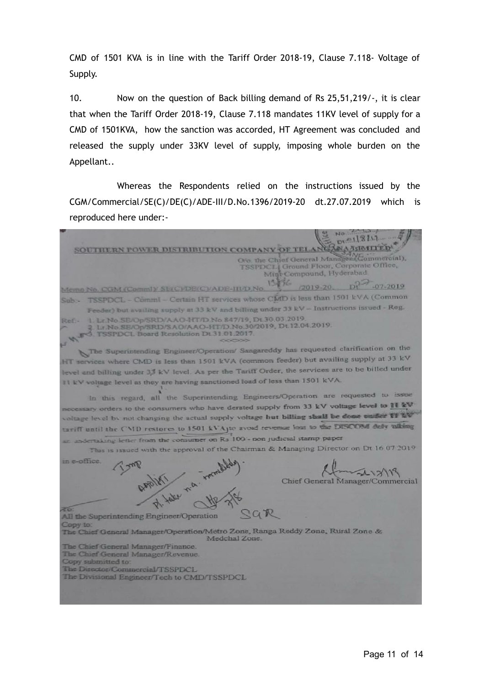CMD of 1501 KVA is in line with the Tariff Order 2018-19, Clause 7.118- Voltage of Supply.

10. Now on the question of Back billing demand of Rs 25,51,219/-, it is clear that when the Tariff Order 2018-19, Clause 7.118 mandates 11KV level of supply for a CMD of 1501KVA, how the sanction was accorded, HT Agreement was concluded and released the supply under 33KV level of supply, imposing whole burden on the Appellant..

Whereas the Respondents relied on the instructions issued by the CGM/Commercial/SE(C)/DE(C)/ADE-III/D.No.1396/2019-20 dt.27.07.2019 which is reproduced here under:-

 $P^{\circ}$  118/17 SOUTHERN POWER DISTRIBUTION COMPANY OF TELANGARIAHTED O/o. the Chief General Manages (Commercial), TSSPDCLI Ground Floor, Corporate Office,<br>Migt Compound, Hyderabad 1356  $72019-20$ ,  $Dt^2$ -07-2019 Memo No. CGM (CommJ)/ SE(C)/DE(C)/ADE-III/D.No. TSSPDCL - CommI - Certain HT services whose CMD is less than 1501 kVA (Common Feeder) but availing supply at 33 kV and billing under 33 kV - Instructions issued - Reg. L. Lr. No. SE/Op/SRD/AAO-HT/D. No. 847/19, Dt. 30.03.2019. Lt No SE/Op/SRD/SAO/AAO-HT/D No.30/2019, Dt.12.04.2019. TSSPDCL Board Resolution Dt 31.01.2017. The Superintending Engineer/Operation/ Sangareddy has requested clarification on the HT services where CMD is less than 1501 kVA (common feeder) but availing supply at 33 kV level and billing under 3,3 kV level. As per the Tariff Order, the services are to be billed under It kV voltage level as they are having sanctioned load of less than 1501 kVA. In this regard, all the Superintending Engineers/Operation are requested to issue essary orders to the consumers who have derated supply from 33 kV voltage level to 11 kV voltage level by not changing the actual supply voltage but billing shall be done under 17 1/2 tariff until the CMD restores to 1501 kVAjte avoid revenue loss to the DISCOM dely talking eral inc letter from the consumer on Rs 100 - non judicial stamp paper This is issued with the approval of the Chairman & Managing Director on Dt 16 07 2019 in e-office.  $71319$ Chief General Manager/Commercial 26 SGR All the Superintending Engineer/Operation Copy to: The Chief General Manager/Operation/Metro Zone, Ranga Reddy Zone, Rural Zone & Medchal Zone. The Chief General Manager/Finance. The Chief General Manager/Revenue. Copy submitted to: The Director/Commercial/TSSPDCL The Divisional Engineer/Tech to CMD/TSSPDCL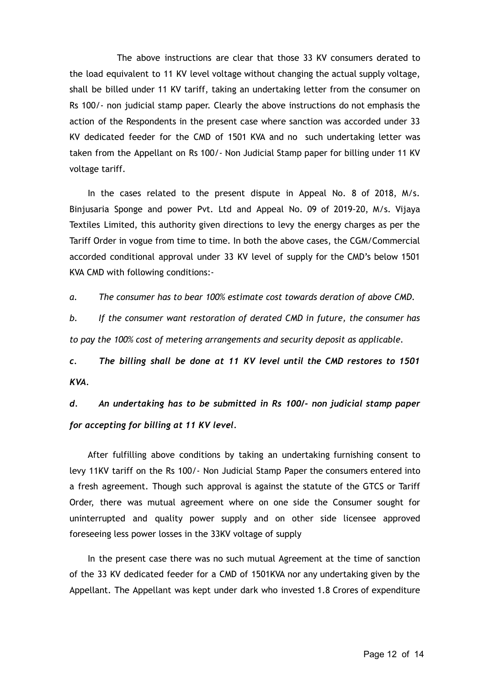The above instructions are clear that those 33 KV consumers derated to the load equivalent to 11 KV level voltage without changing the actual supply voltage, shall be billed under 11 KV tariff, taking an undertaking letter from the consumer on Rs 100/- non judicial stamp paper. Clearly the above instructions do not emphasis the action of the Respondents in the present case where sanction was accorded under 33 KV dedicated feeder for the CMD of 1501 KVA and no such undertaking letter was taken from the Appellant on Rs 100/- Non Judicial Stamp paper for billing under 11 KV voltage tariff.

In the cases related to the present dispute in Appeal No. 8 of 2018, M/s. Binjusaria Sponge and power Pvt. Ltd and Appeal No. 09 of 2019-20, M/s. Vijaya Textiles Limited, this authority given directions to levy the energy charges as per the Tariff Order in vogue from time to time. In both the above cases, the CGM/Commercial accorded conditional approval under 33 KV level of supply for the CMD's below 1501 KVA CMD with following conditions:-

*a. The consumer has to bear 100% estimate cost towards deration of above CMD.*

*b. If the consumer want restoration of derated CMD in future, the consumer has to pay the 100% cost of metering arrangements and security deposit as applicable.*

*c. The billing shall be done at 11 KV level until the CMD restores to 1501 KVA.*

*d. An undertaking has to be submitted in Rs 100/- non judicial stamp paper for accepting for billing at 11 KV level.*

After fulfilling above conditions by taking an undertaking furnishing consent to levy 11KV tariff on the Rs 100/- Non Judicial Stamp Paper the consumers entered into a fresh agreement. Though such approval is against the statute of the GTCS or Tariff Order, there was mutual agreement where on one side the Consumer sought for uninterrupted and quality power supply and on other side licensee approved foreseeing less power losses in the 33KV voltage of supply

In the present case there was no such mutual Agreement at the time of sanction of the 33 KV dedicated feeder for a CMD of 1501KVA nor any undertaking given by the Appellant. The Appellant was kept under dark who invested 1.8 Crores of expenditure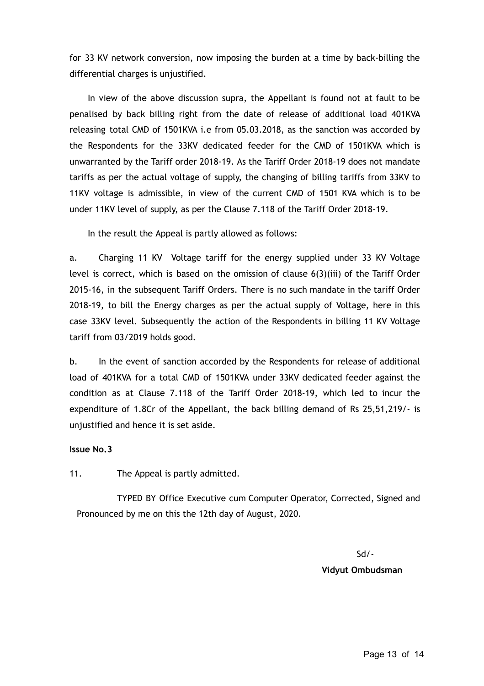for 33 KV network conversion, now imposing the burden at a time by back-billing the differential charges is unjustified.

In view of the above discussion supra, the Appellant is found not at fault to be penalised by back billing right from the date of release of additional load 401KVA releasing total CMD of 1501KVA i.e from 05.03.2018, as the sanction was accorded by the Respondents for the 33KV dedicated feeder for the CMD of 1501KVA which is unwarranted by the Tariff order 2018-19. As the Tariff Order 2018-19 does not mandate tariffs as per the actual voltage of supply, the changing of billing tariffs from 33KV to 11KV voltage is admissible, in view of the current CMD of 1501 KVA which is to be under 11KV level of supply, as per the Clause 7.118 of the Tariff Order 2018-19.

In the result the Appeal is partly allowed as follows:

a. Charging 11 KV Voltage tariff for the energy supplied under 33 KV Voltage level is correct, which is based on the omission of clause 6(3)(iii) of the Tariff Order 2015-16, in the subsequent Tariff Orders. There is no such mandate in the tariff Order 2018-19, to bill the Energy charges as per the actual supply of Voltage, here in this case 33KV level. Subsequently the action of the Respondents in billing 11 KV Voltage tariff from 03/2019 holds good.

b. In the event of sanction accorded by the Respondents for release of additional load of 401KVA for a total CMD of 1501KVA under 33KV dedicated feeder against the condition as at Clause 7.118 of the Tariff Order 2018-19, which led to incur the expenditure of 1.8Cr of the Appellant, the back billing demand of Rs 25,51,219/- is unjustified and hence it is set aside.

# **Issue No.3**

11. The Appeal is partly admitted.

TYPED BY Office Executive cum Computer Operator, Corrected, Signed and Pronounced by me on this the 12th day of August, 2020.

> Sd/- **Vidyut Ombudsman**